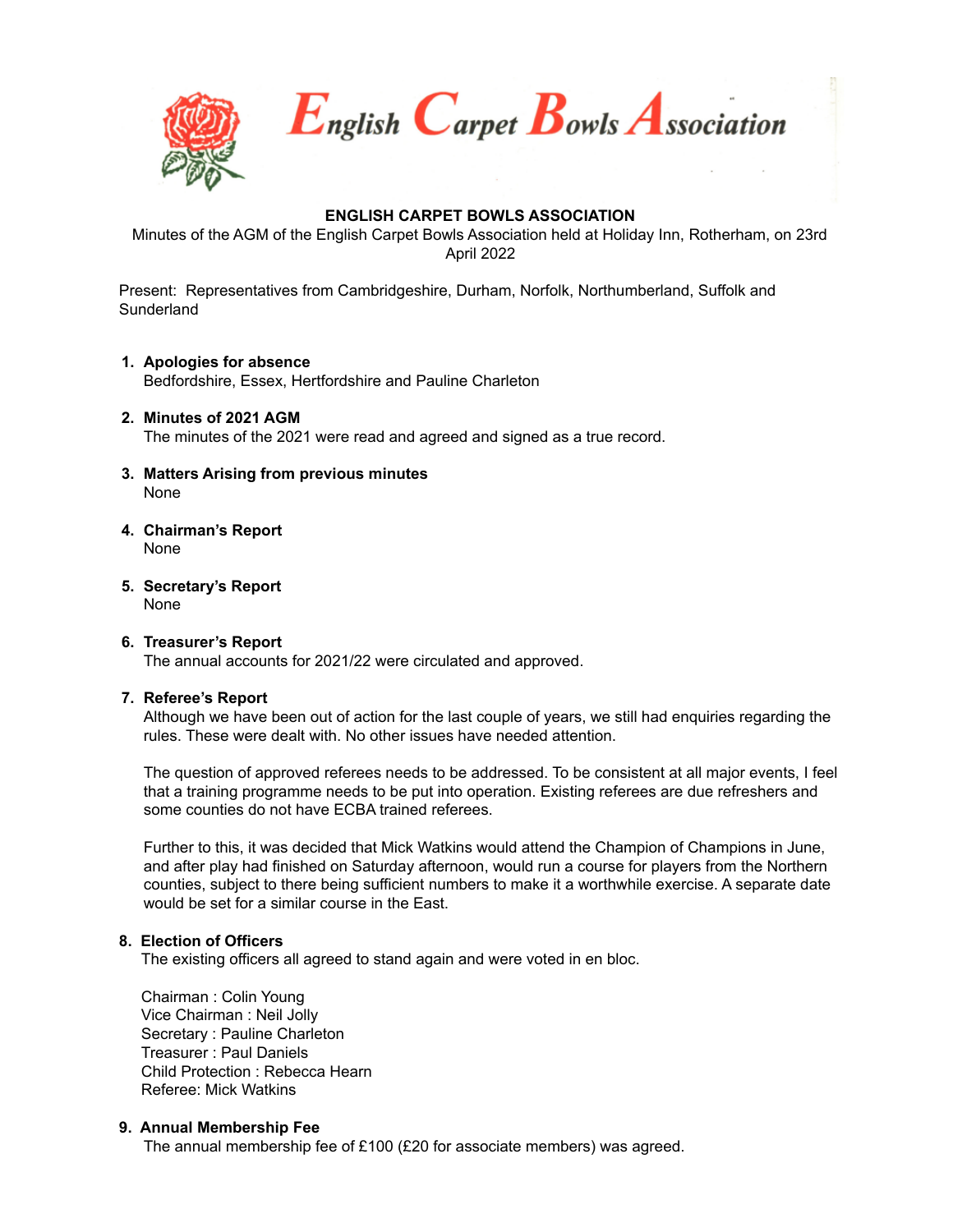

 $E_{\textit{nglish}} C_{\textit{arpet}} B_{\textit{owls}} A_{\textit{ssociation}}$ 

# **ENGLISH CARPET BOWLS ASSOCIATION**

Minutes of the AGM of the English Carpet Bowls Association held at Holiday Inn, Rotherham, on 23rd April 2022

Present: Representatives from Cambridgeshire, Durham, Norfolk, Northumberland, Suffolk and **Sunderland** 

# **1. Apologies for absence**

Bedfordshire, Essex, Hertfordshire and Pauline Charleton

#### **2. Minutes of 2021 AGM** The minutes of the 2021 were read and agreed and signed as a true record.

**3. Matters Arising from previous minutes**

None

- **4. Chairman's Report** None
- **5. Secretary's Report** None

### **6. Treasurer's Report** The annual accounts for 2021/22 were circulated and approved.

### **7. Referee's Report**

Although we have been out of action for the last couple of years, we still had enquiries regarding the rules. These were dealt with. No other issues have needed attention.

The question of approved referees needs to be addressed. To be consistent at all major events, I feel that a training programme needs to be put into operation. Existing referees are due refreshers and some counties do not have ECBA trained referees.

Further to this, it was decided that Mick Watkins would attend the Champion of Champions in June, and after play had finished on Saturday afternoon, would run a course for players from the Northern counties, subject to there being sufficient numbers to make it a worthwhile exercise. A separate date would be set for a similar course in the East.

### **8. Election of Officers**

The existing officers all agreed to stand again and were voted in en bloc.

Chairman : Colin Young Vice Chairman : Neil Jolly Secretary : Pauline Charleton Treasurer : Paul Daniels Child Protection : Rebecca Hearn Referee: Mick Watkins

### **9. Annual Membership Fee**

The annual membership fee of £100 (£20 for associate members) was agreed.